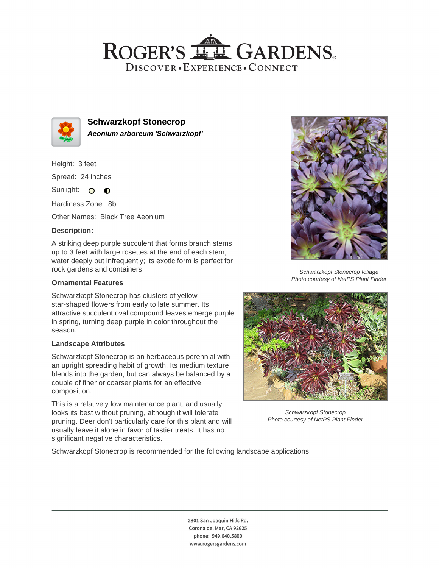## ROGER'S LL GARDENS. DISCOVER · EXPERIENCE · CONNECT



**Schwarzkopf Stonecrop Aeonium arboreum 'Schwarzkopf'**

Height: 3 feet Spread: 24 inches

Sunlight: O **O** 

Hardiness Zone: 8b

Other Names: Black Tree Aeonium

### **Description:**

A striking deep purple succulent that forms branch stems up to 3 feet with large rosettes at the end of each stem; water deeply but infrequently; its exotic form is perfect for rock gardens and containers

#### **Ornamental Features**

Schwarzkopf Stonecrop has clusters of yellow star-shaped flowers from early to late summer. Its attractive succulent oval compound leaves emerge purple in spring, turning deep purple in color throughout the season.

#### **Landscape Attributes**

Schwarzkopf Stonecrop is an herbaceous perennial with an upright spreading habit of growth. Its medium texture blends into the garden, but can always be balanced by a couple of finer or coarser plants for an effective composition.

This is a relatively low maintenance plant, and usually looks its best without pruning, although it will tolerate pruning. Deer don't particularly care for this plant and will usually leave it alone in favor of tastier treats. It has no significant negative characteristics.



Schwarzkopf Stonecrop foliage Photo courtesy of NetPS Plant Finder



Schwarzkopf Stonecrop Photo courtesy of NetPS Plant Finder

Schwarzkopf Stonecrop is recommended for the following landscape applications;

2301 San Joaquin Hills Rd. Corona del Mar, CA 92625 phone: 949.640.5800 www.rogersgardens.com